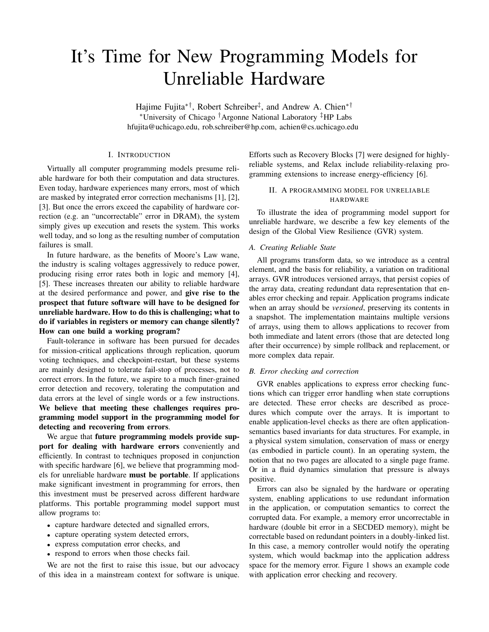# It's Time for New Programming Models for Unreliable Hardware

Hajime Fujita∗†, Robert Schreiber‡ , and Andrew A. Chien∗† <sup>∗</sup>University of Chicago †Argonne National Laboratory ‡HP Labs hfujita@uchicago.edu, rob.schreiber@hp.com, achien@cs.uchicago.edu

## I. INTRODUCTION

Virtually all computer programming models presume reliable hardware for both their computation and data structures. Even today, hardware experiences many errors, most of which are masked by integrated error correction mechanisms [1], [2], [3]. But once the errors exceed the capability of hardware correction (e.g. an "uncorrectable" error in DRAM), the system simply gives up execution and resets the system. This works well today, and so long as the resulting number of computation failures is small.

In future hardware, as the benefits of Moore's Law wane, the industry is scaling voltages aggressively to reduce power, producing rising error rates both in logic and memory [4], [5]. These increases threaten our ability to reliable hardware at the desired performance and power, and give rise to the prospect that future software will have to be designed for unreliable hardware. How to do this is challenging; what to do if variables in registers or memory can change silently? How can one build a working program?

Fault-tolerance in software has been pursued for decades for mission-critical applications through replication, quorum voting techniques, and checkpoint-restart, but these systems are mainly designed to tolerate fail-stop of processes, not to correct errors. In the future, we aspire to a much finer-grained error detection and recovery, tolerating the computation and data errors at the level of single words or a few instructions. We believe that meeting these challenges requires programming model support in the programming model for detecting and recovering from errors.

We argue that future programming models provide support for dealing with hardware errors conveniently and efficiently. In contrast to techniques proposed in conjunction with specific hardware [6], we believe that programming models for unreliable hardware must be portable. If applications make significant investment in programming for errors, then this investment must be preserved across different hardware platforms. This portable programming model support must allow programs to:

- capture hardware detected and signalled errors,
- capture operating system detected errors,
- express computation error checks, and
- respond to errors when those checks fail.

We are not the first to raise this issue, but our advocacy of this idea in a mainstream context for software is unique. Efforts such as Recovery Blocks [7] were designed for highlyreliable systems, and Relax include reliability-relaxing programming extensions to increase energy-efficiency [6].

## II. A PROGRAMMING MODEL FOR UNRELIABLE HARDWARE

To illustrate the idea of programming model support for unreliable hardware, we describe a few key elements of the design of the Global View Resilience (GVR) system.

#### *A. Creating Reliable State*

All programs transform data, so we introduce as a central element, and the basis for reliability, a variation on traditional arrays. GVR introduces versioned arrays, that persist copies of the array data, creating redundant data representation that enables error checking and repair. Application programs indicate when an array should be *versioned*, preserving its contents in a snapshot. The implementation maintains multiple versions of arrays, using them to allows applications to recover from both immediate and latent errors (those that are detected long after their occurrence) by simple rollback and replacement, or more complex data repair.

#### *B. Error checking and correction*

GVR enables applications to express error checking functions which can trigger error handling when state corruptions are detected. These error checks are described as procedures which compute over the arrays. It is important to enable application-level checks as there are often applicationsemantics based invariants for data structures. For example, in a physical system simulation, conservation of mass or energy (as embodied in particle count). In an operating system, the notion that no two pages are allocated to a single page frame. Or in a fluid dynamics simulation that pressure is always positive.

Errors can also be signaled by the hardware or operating system, enabling applications to use redundant information in the application, or computation semantics to correct the corrupted data. For example, a memory error uncorrectable in hardware (double bit error in a SECDED memory), might be correctable based on redundant pointers in a doubly-linked list. In this case, a memory controller would notify the operating system, which would backmap into the application address space for the memory error. Figure 1 shows an example code with application error checking and recovery.